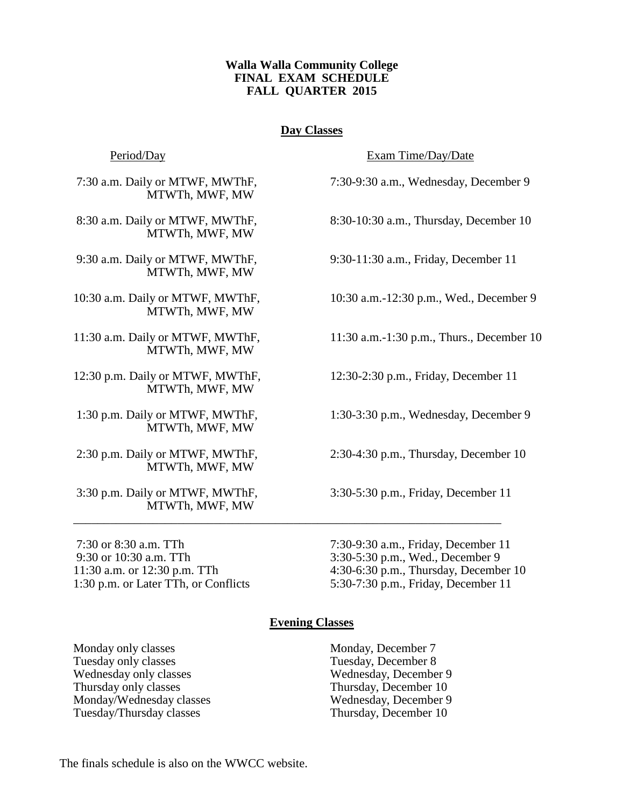## **Walla Walla Community College FINAL EXAM SCHEDULE FALL QUARTER 2015**

# **Day Classes**

MTWTh, MWF, MW

MTWTh, MWF, MW

MTWTh, MWF, MW

MTWTh, MWF, MW

MTWTh, MWF, MW

MTWTh, MWF, MW

MTWTh, MWF, MW

MTWTh, MWF, MW

MTWTh, MWF, MW

9:30 or 10:30 a.m. TTh 3:30-5:30 p.m., Wed., December 9

Period/Day Exam Time/Day/Date

7:30 a.m. Daily or MTWF, MWThF, 7:30-9:30 a.m., Wednesday, December 9

8:30 a.m. Daily or MTWF, MWThF, 8:30-10:30 a.m., Thursday, December 10

9:30 a.m. Daily or MTWF, MWThF, 9:30-11:30 a.m., Friday, December 11

10:30 a.m. Daily or MTWF, MWThF, 10:30 a.m.-12:30 p.m., Wed., December 9

11:30 a.m. Daily or MTWF, MWThF, 11:30 a.m.-1:30 p.m., Thurs., December 10

12:30 p.m. Daily or MTWF, MWThF, 12:30-2:30 p.m., Friday, December 11

1:30 p.m. Daily or MTWF, MWThF, 1:30-3:30 p.m., Wednesday, December 9

2:30 p.m. Daily or MTWF, MWThF, 2:30-4:30 p.m., Thursday, December 10

3:30 p.m. Daily or MTWF, MWThF, 3:30-5:30 p.m., Friday, December 11

7:30 or 8:30 a.m. TTh 7:30-9:30 a.m., Friday, December 11 11:30 a.m. or 12:30 p.m. TTh 4:30-6:30 p.m., Thursday, December 10 1:30 p.m. or Later TTh, or Conflicts 5:30-7:30 p.m., Friday, December 11

## **Evening Classes**

\_\_\_\_\_\_\_\_\_\_\_\_\_\_\_\_\_\_\_\_\_\_\_\_\_\_\_\_\_\_\_\_\_\_\_\_\_\_\_\_\_\_\_\_\_\_\_\_\_\_\_\_\_\_\_\_\_\_\_\_\_\_\_\_\_\_\_\_\_\_

Monday only classes Monday, December 7 Tuesday only classes Tuesday, December 8 Wednesday only classes Wednesday, December 9 Thursday only classes Thursday, December 10 Monday/Wednesday classes Wednesday, December 9 Tuesday/Thursday classes Thursday, December 10

The finals schedule is also on the WWCC website.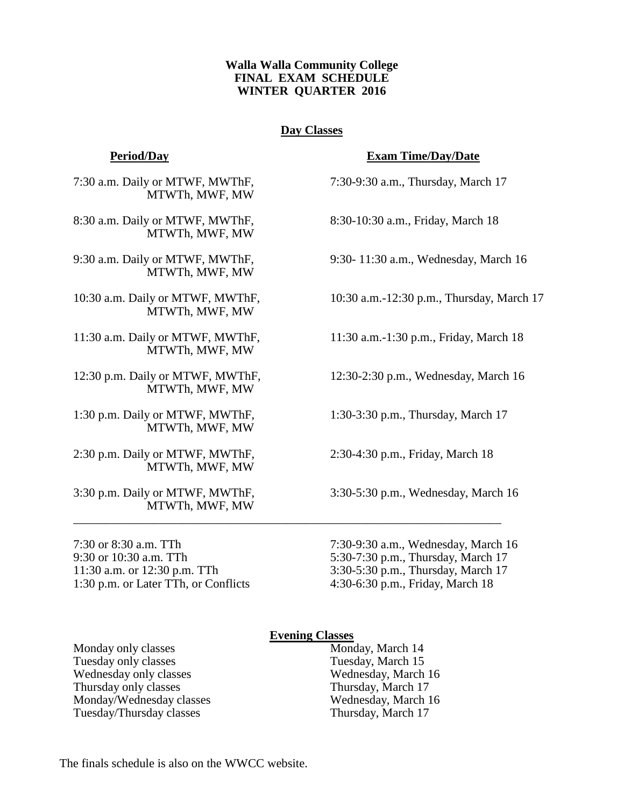## **Walla Walla Community College FINAL EXAM SCHEDULE WINTER QUARTER 2016**

# **Day Classes**

7:30 a.m. Daily or MTWF, MWThF, 7:30-9:30 a.m., Thursday, March 17 MTWTh, MWF, MW

8:30 a.m. Daily or MTWF, MWThF, 8:30-10:30 a.m., Friday, March 18 MTWTh, MWF, MW

MTWTh, MWF, MW

MTWTh, MWF, MW

MTWTh, MWF, MW

MTWTh, MWF, MW

1:30 p.m. Daily or MTWF, MWThF, 1:30-3:30 p.m., Thursday, March 17 MTWTh, MWF, MW

2:30 p.m. Daily or MTWF, MWThF, 2:30-4:30 p.m., Friday, March 18 MTWTh, MWF, MW

MTWTh, MWF, MW

1:30 p.m. or Later TTh, or Conflicts 4:30-6:30 p.m., Friday, March 18

## **Period/Day Exam Time/Day/Date**

9:30 a.m. Daily or MTWF, MWThF, 9:30- 11:30 a.m., Wednesday, March 16

10:30 a.m. Daily or MTWF, MWThF, 10:30 a.m.-12:30 p.m., Thursday, March 17

11:30 a.m. Daily or MTWF, MWThF, 11:30 a.m.-1:30 p.m., Friday, March 18

12:30 p.m. Daily or MTWF, MWThF, 12:30-2:30 p.m., Wednesday, March 16

3:30 p.m. Daily or MTWF, MWThF, 3:30-5:30 p.m., Wednesday, March 16

7:30 or 8:30 a.m. TTh 7:30-9:30 a.m., Wednesday, March 16 9:30 or 10:30 a.m. TTh 5:30-7:30 p.m., Thursday, March 17 11:30 a.m. or 12:30 p.m. TTh 3:30-5:30 p.m., Thursday, March 17

### **Evening Classes**

\_\_\_\_\_\_\_\_\_\_\_\_\_\_\_\_\_\_\_\_\_\_\_\_\_\_\_\_\_\_\_\_\_\_\_\_\_\_\_\_\_\_\_\_\_\_\_\_\_\_\_\_\_\_\_\_\_\_\_\_\_\_\_\_\_\_\_\_\_\_

Monday only classes Monday, March 14 Tuesday only classes Tuesday, March 15 Wednesday only classes Wednesday, March 16 Thursday only classes Thursday, March 17 Monday/Wednesday classes Wednesday, March 16 Tuesday/Thursday classes Thursday, March 17

The finals schedule is also on the WWCC website.